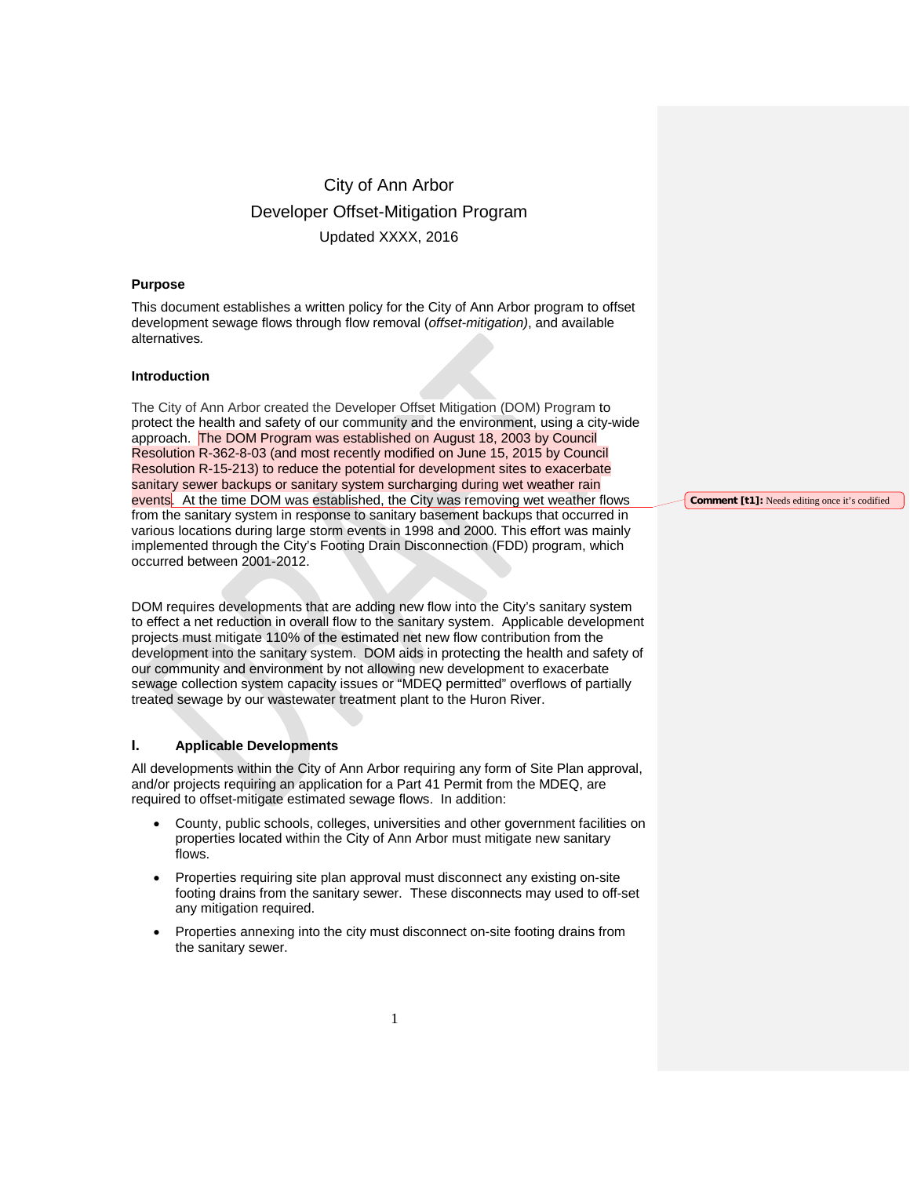## **Purpose**

This document establishes a written policy for the City of Ann Arbor program to offset development sewage flows through flow removal (*offset-mitigation)*, and available alternatives*.* 

#### **Introduction**

The City of Ann Arbor created the Developer Offset Mitigation (DOM) Program to protect the health and safety of our community and the environment, using a city-wide approach. The DOM Program was established on August 18, 2003 by Council Resolution R-362-8-03 (and most recently modified on June 15, 2015 by Council Resolution R-15-213) to reduce the potential for development sites to exacerbate sanitary sewer backups or sanitary system surcharging during wet weather rain events. At the time DOM was established, the City was removing wet weather flows from the sanitary system in response to sanitary basement backups that occurred in various locations during large storm events in 1998 and 2000. This effort was mainly implemented through the City's Footing Drain Disconnection (FDD) program, which occurred between 2001-2012.

DOM requires developments that are adding new flow into the City's sanitary system to effect a net reduction in overall flow to the sanitary system. Applicable development projects must mitigate 110% of the estimated net new flow contribution from the development into the sanitary system. DOM aids in protecting the health and safety of our community and environment by not allowing new development to exacerbate sewage collection system capacity issues or "MDEQ permitted" overflows of partially treated sewage by our wastewater treatment plant to the Huron River.

#### **I. Applicable Developments**

All developments within the City of Ann Arbor requiring any form of Site Plan approval, and/or projects requiring an application for a Part 41 Permit from the MDEQ, are required to offset-mitigate estimated sewage flows. In addition:

- County, public schools, colleges, universities and other government facilities on properties located within the City of Ann Arbor must mitigate new sanitary flows.
- Properties requiring site plan approval must disconnect any existing on-site footing drains from the sanitary sewer. These disconnects may used to off-set any mitigation required.
- Properties annexing into the city must disconnect on-site footing drains from the sanitary sewer.

**Comment [t1]:** Needs editing once it's codified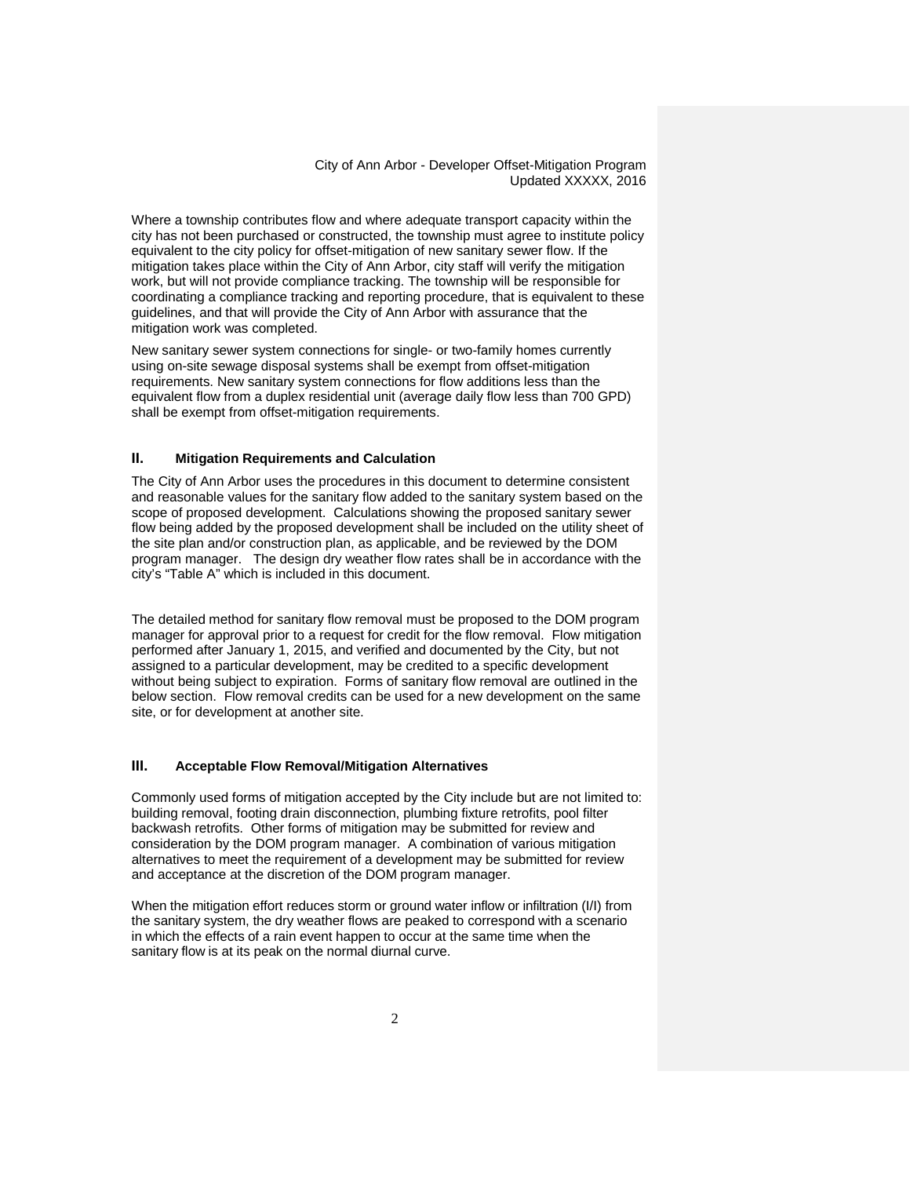Where a township contributes flow and where adequate transport capacity within the city has not been purchased or constructed, the township must agree to institute policy equivalent to the city policy for offset-mitigation of new sanitary sewer flow. If the mitigation takes place within the City of Ann Arbor, city staff will verify the mitigation work, but will not provide compliance tracking. The township will be responsible for coordinating a compliance tracking and reporting procedure, that is equivalent to these guidelines, and that will provide the City of Ann Arbor with assurance that the mitigation work was completed.

New sanitary sewer system connections for single- or two-family homes currently using on-site sewage disposal systems shall be exempt from offset-mitigation requirements. New sanitary system connections for flow additions less than the equivalent flow from a duplex residential unit (average daily flow less than 700 GPD) shall be exempt from offset-mitigation requirements.

#### **II. Mitigation Requirements and Calculation**

The City of Ann Arbor uses the procedures in this document to determine consistent and reasonable values for the sanitary flow added to the sanitary system based on the scope of proposed development. Calculations showing the proposed sanitary sewer flow being added by the proposed development shall be included on the utility sheet of the site plan and/or construction plan, as applicable, and be reviewed by the DOM program manager. The design dry weather flow rates shall be in accordance with the city's "Table A" which is included in this document.

The detailed method for sanitary flow removal must be proposed to the DOM program manager for approval prior to a request for credit for the flow removal. Flow mitigation performed after January 1, 2015, and verified and documented by the City, but not assigned to a particular development, may be credited to a specific development without being subject to expiration. Forms of sanitary flow removal are outlined in the below section. Flow removal credits can be used for a new development on the same site, or for development at another site.

## **III. Acceptable Flow Removal/Mitigation Alternatives**

Commonly used forms of mitigation accepted by the City include but are not limited to: building removal, footing drain disconnection, plumbing fixture retrofits, pool filter backwash retrofits. Other forms of mitigation may be submitted for review and consideration by the DOM program manager. A combination of various mitigation alternatives to meet the requirement of a development may be submitted for review and acceptance at the discretion of the DOM program manager.

When the mitigation effort reduces storm or ground water inflow or infiltration (I/I) from the sanitary system, the dry weather flows are peaked to correspond with a scenario in which the effects of a rain event happen to occur at the same time when the sanitary flow is at its peak on the normal diurnal curve.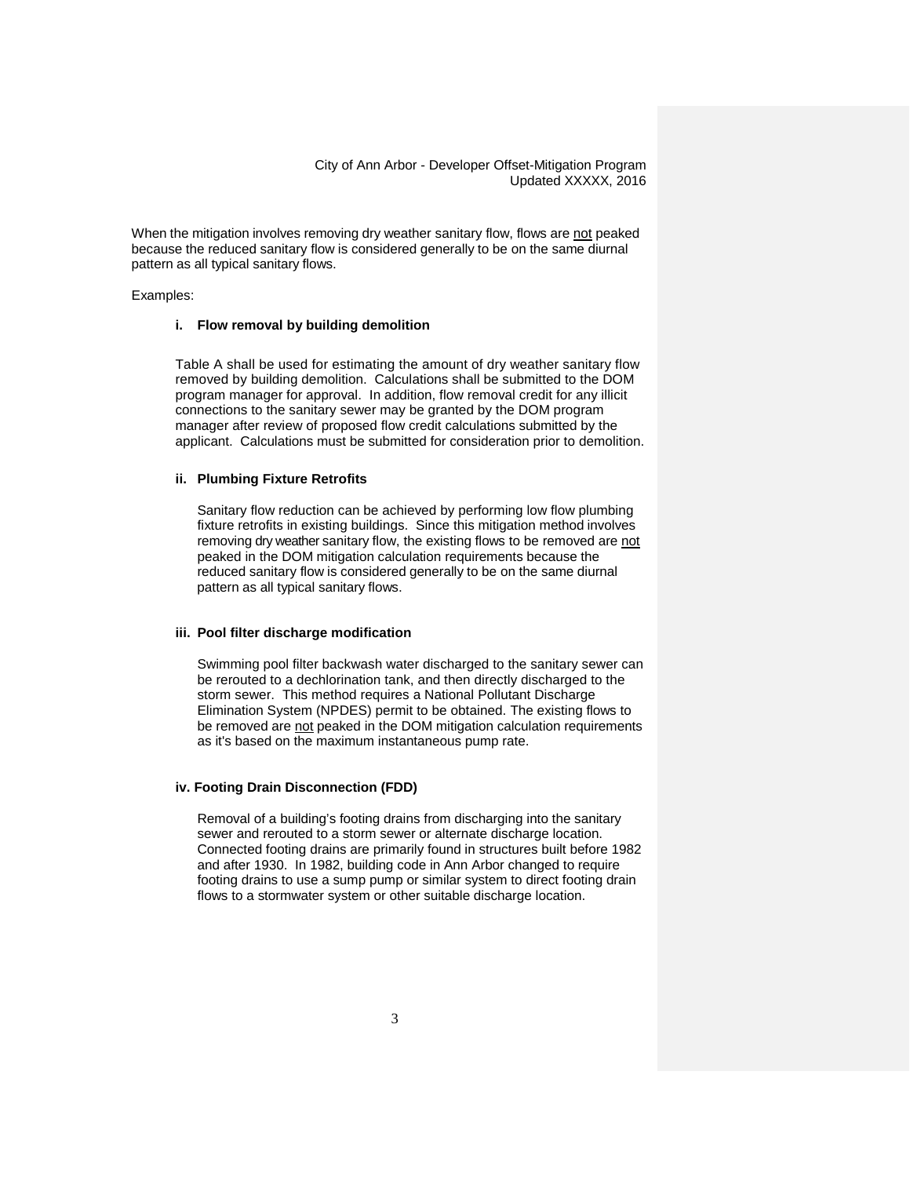When the mitigation involves removing dry weather sanitary flow, flows are not peaked because the reduced sanitary flow is considered generally to be on the same diurnal pattern as all typical sanitary flows.

Examples:

#### **i. Flow removal by building demolition**

Table A shall be used for estimating the amount of dry weather sanitary flow removed by building demolition. Calculations shall be submitted to the DOM program manager for approval. In addition, flow removal credit for any illicit connections to the sanitary sewer may be granted by the DOM program manager after review of proposed flow credit calculations submitted by the applicant. Calculations must be submitted for consideration prior to demolition.

#### **ii. Plumbing Fixture Retrofits**

Sanitary flow reduction can be achieved by performing low flow plumbing fixture retrofits in existing buildings. Since this mitigation method involves removing dry weather sanitary flow, the existing flows to be removed are not peaked in the DOM mitigation calculation requirements because the reduced sanitary flow is considered generally to be on the same diurnal pattern as all typical sanitary flows.

## **iii. Pool filter discharge modification**

Swimming pool filter backwash water discharged to the sanitary sewer can be rerouted to a dechlorination tank, and then directly discharged to the storm sewer. This method requires a National Pollutant Discharge Elimination System (NPDES) permit to be obtained. The existing flows to be removed are not peaked in the DOM mitigation calculation requirements as it's based on the maximum instantaneous pump rate.

#### **iv. Footing Drain Disconnection (FDD)**

Removal of a building's footing drains from discharging into the sanitary sewer and rerouted to a storm sewer or alternate discharge location. Connected footing drains are primarily found in structures built before 1982 and after 1930. In 1982, building code in Ann Arbor changed to require footing drains to use a sump pump or similar system to direct footing drain flows to a stormwater system or other suitable discharge location.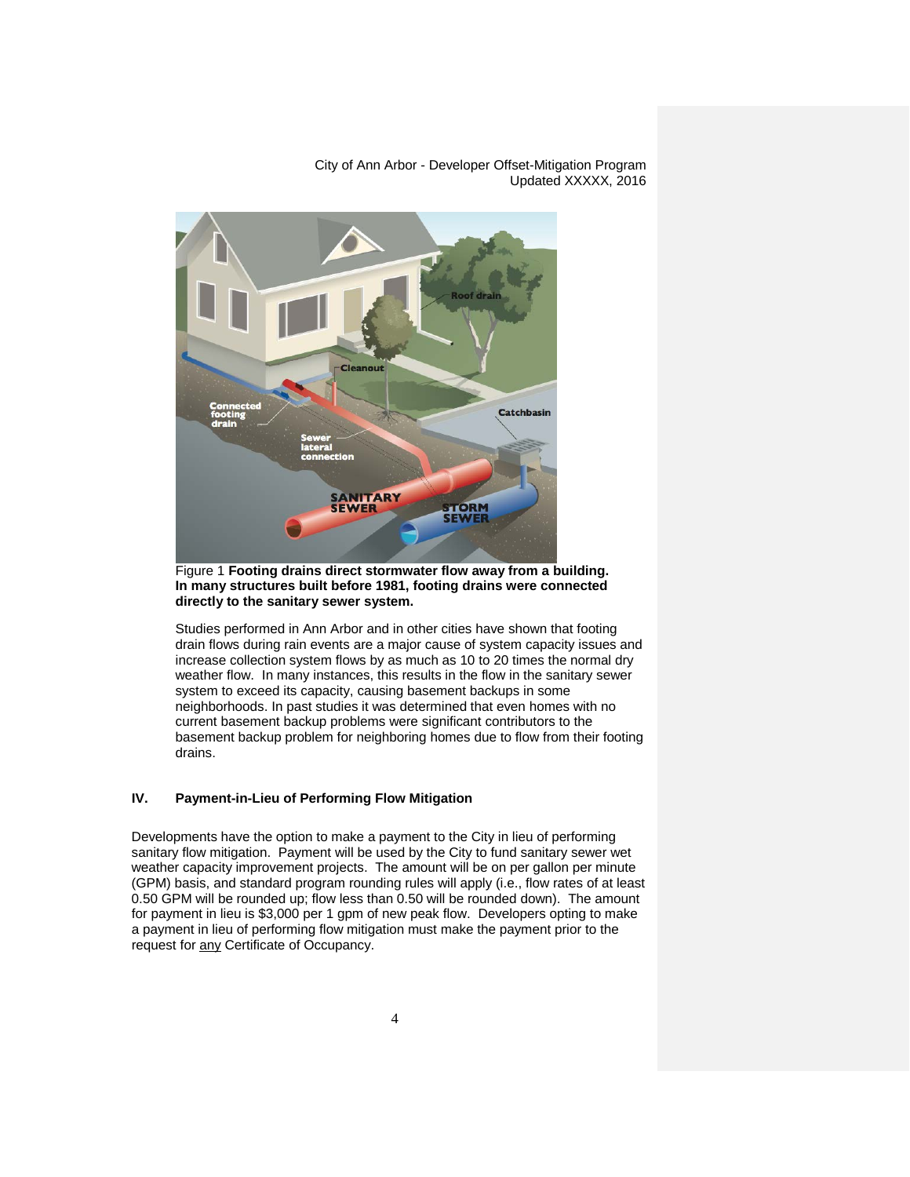Cleanout **Catchbasin SANITARY**<br>**SEWER STORM**<br>SEWER

City of Ann Arbor - Developer Offset-Mitigation Program Updated XXXXX, 2016

Figure 1 **Footing drains direct stormwater flow away from a building. In many structures built before 1981, footing drains were connected directly to the sanitary sewer system.**

Studies performed in Ann Arbor and in other cities have shown that footing drain flows during rain events are a major cause of system capacity issues and increase collection system flows by as much as 10 to 20 times the normal dry weather flow. In many instances, this results in the flow in the sanitary sewer system to exceed its capacity, causing basement backups in some neighborhoods. In past studies it was determined that even homes with no current basement backup problems were significant contributors to the basement backup problem for neighboring homes due to flow from their footing drains.

## **IV. Payment-in-Lieu of Performing Flow Mitigation**

Developments have the option to make a payment to the City in lieu of performing sanitary flow mitigation. Payment will be used by the City to fund sanitary sewer wet weather capacity improvement projects. The amount will be on per gallon per minute (GPM) basis, and standard program rounding rules will apply (i.e., flow rates of at least 0.50 GPM will be rounded up; flow less than 0.50 will be rounded down). The amount for payment in lieu is \$3,000 per 1 gpm of new peak flow. Developers opting to make a payment in lieu of performing flow mitigation must make the payment prior to the request for any Certificate of Occupancy.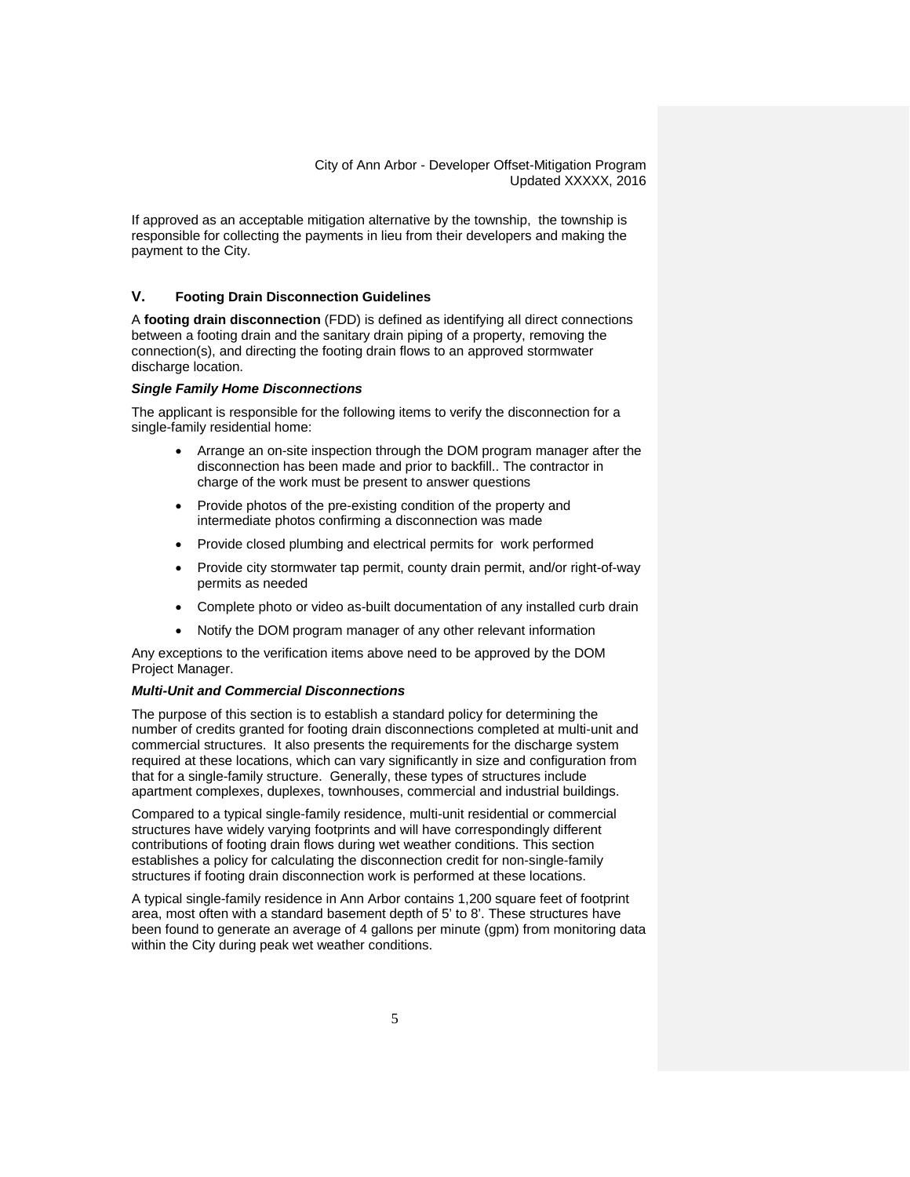If approved as an acceptable mitigation alternative by the township, the township is responsible for collecting the payments in lieu from their developers and making the payment to the City.

## **V. Footing Drain Disconnection Guidelines**

A **footing drain disconnection** (FDD) is defined as identifying all direct connections between a footing drain and the sanitary drain piping of a property, removing the connection(s), and directing the footing drain flows to an approved stormwater discharge location.

#### *Single Family Home Disconnections*

The applicant is responsible for the following items to verify the disconnection for a single-family residential home:

- Arrange an on-site inspection through the DOM program manager after the disconnection has been made and prior to backfill.. The contractor in charge of the work must be present to answer questions
- Provide photos of the pre-existing condition of the property and intermediate photos confirming a disconnection was made
- Provide closed plumbing and electrical permits for work performed
- Provide city stormwater tap permit, county drain permit, and/or right-of-way permits as needed
- Complete photo or video as-built documentation of any installed curb drain
- Notify the DOM program manager of any other relevant information

Any exceptions to the verification items above need to be approved by the DOM Project Manager.

## *Multi-Unit and Commercial Disconnections*

The purpose of this section is to establish a standard policy for determining the number of credits granted for footing drain disconnections completed at multi-unit and commercial structures. It also presents the requirements for the discharge system required at these locations, which can vary significantly in size and configuration from that for a single-family structure. Generally, these types of structures include apartment complexes, duplexes, townhouses, commercial and industrial buildings.

Compared to a typical single-family residence, multi-unit residential or commercial structures have widely varying footprints and will have correspondingly different contributions of footing drain flows during wet weather conditions. This section establishes a policy for calculating the disconnection credit for non-single-family structures if footing drain disconnection work is performed at these locations.

A typical single-family residence in Ann Arbor contains 1,200 square feet of footprint area, most often with a standard basement depth of 5' to 8'. These structures have been found to generate an average of 4 gallons per minute (gpm) from monitoring data within the City during peak wet weather conditions.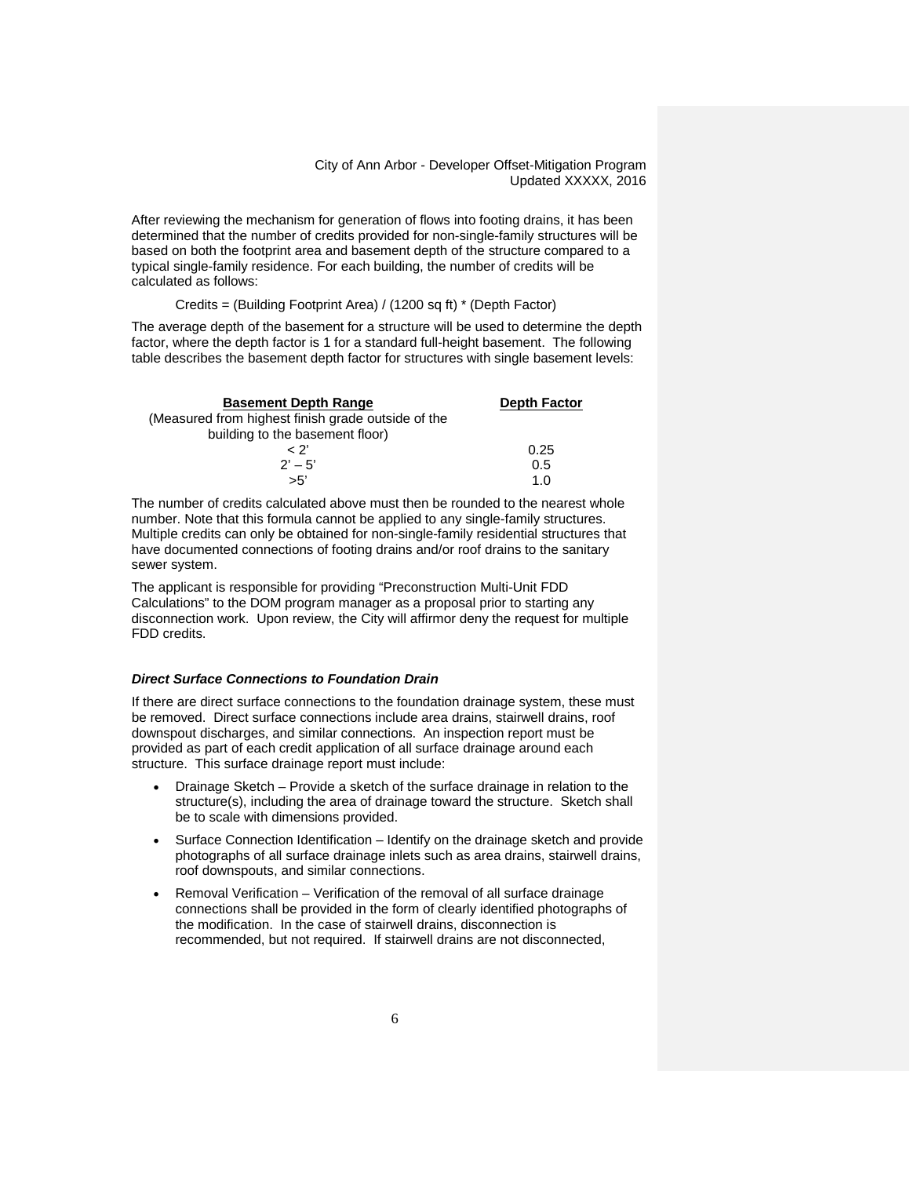After reviewing the mechanism for generation of flows into footing drains, it has been determined that the number of credits provided for non-single-family structures will be based on both the footprint area and basement depth of the structure compared to a typical single-family residence. For each building, the number of credits will be calculated as follows:

Credits = (Building Footprint Area) / (1200 sq ft) \* (Depth Factor)

The average depth of the basement for a structure will be used to determine the depth factor, where the depth factor is 1 for a standard full-height basement. The following table describes the basement depth factor for structures with single basement levels:

| <b>Basement Depth Range</b>                        | <b>Depth Factor</b> |  |  |
|----------------------------------------------------|---------------------|--|--|
| (Measured from highest finish grade outside of the |                     |  |  |
| building to the basement floor)                    |                     |  |  |
| ~ ?'                                               | 0.25                |  |  |
| $2' - 5'$                                          | 0.5                 |  |  |
| >5'                                                | 1 O                 |  |  |

The number of credits calculated above must then be rounded to the nearest whole number. Note that this formula cannot be applied to any single-family structures. Multiple credits can only be obtained for non-single-family residential structures that have documented connections of footing drains and/or roof drains to the sanitary sewer system.

The applicant is responsible for providing "Preconstruction Multi-Unit FDD Calculations" to the DOM program manager as a proposal prior to starting any disconnection work. Upon review, the City will affirmor deny the request for multiple FDD credits.

#### *Direct Surface Connections to Foundation Drain*

If there are direct surface connections to the foundation drainage system, these must be removed. Direct surface connections include area drains, stairwell drains, roof downspout discharges, and similar connections. An inspection report must be provided as part of each credit application of all surface drainage around each structure. This surface drainage report must include:

- Drainage Sketch Provide a sketch of the surface drainage in relation to the structure(s), including the area of drainage toward the structure. Sketch shall be to scale with dimensions provided.
- Surface Connection Identification Identify on the drainage sketch and provide photographs of all surface drainage inlets such as area drains, stairwell drains, roof downspouts, and similar connections.
- Removal Verification Verification of the removal of all surface drainage connections shall be provided in the form of clearly identified photographs of the modification. In the case of stairwell drains, disconnection is recommended, but not required. If stairwell drains are not disconnected,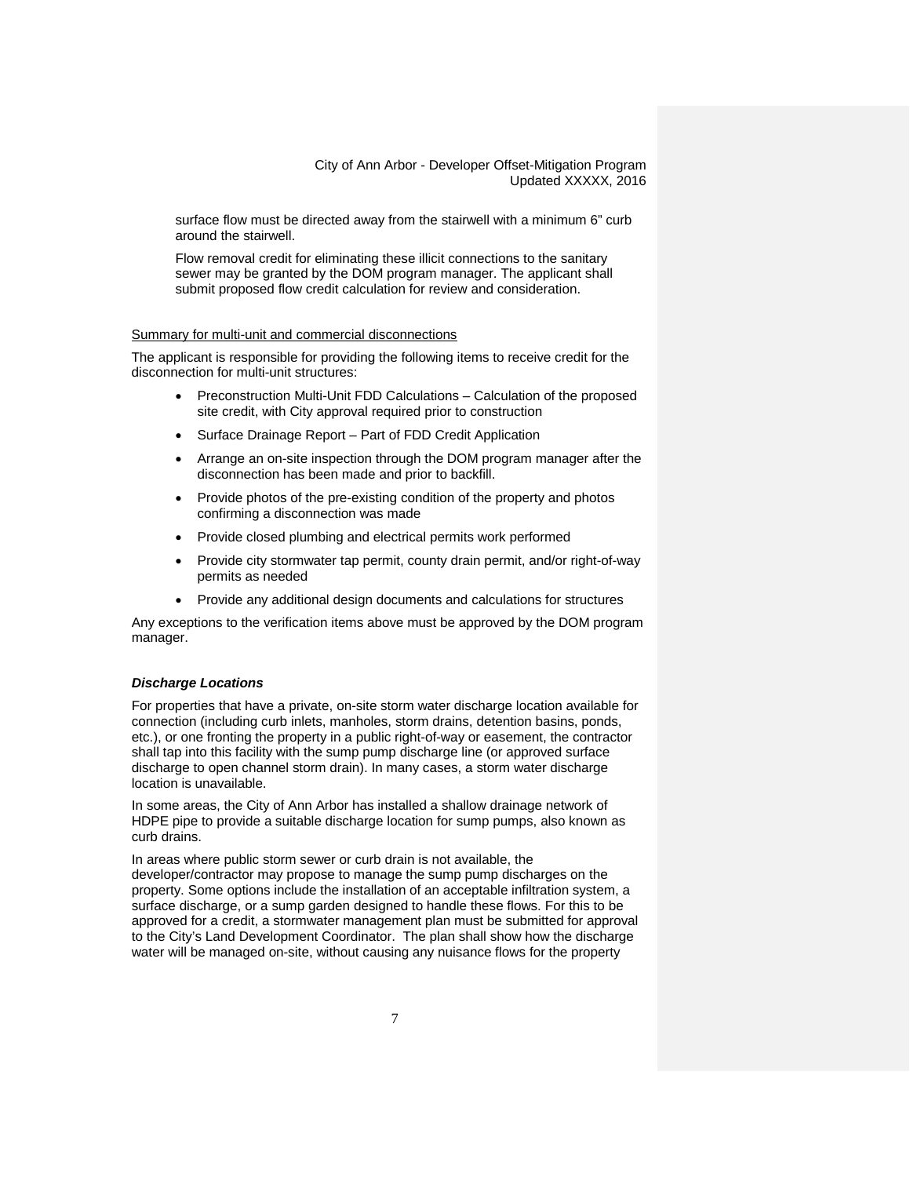surface flow must be directed away from the stairwell with a minimum 6" curb around the stairwell.

Flow removal credit for eliminating these illicit connections to the sanitary sewer may be granted by the DOM program manager. The applicant shall submit proposed flow credit calculation for review and consideration.

## Summary for multi-unit and commercial disconnections

The applicant is responsible for providing the following items to receive credit for the disconnection for multi-unit structures:

- Preconstruction Multi-Unit FDD Calculations Calculation of the proposed site credit, with City approval required prior to construction
- Surface Drainage Report Part of FDD Credit Application
- Arrange an on-site inspection through the DOM program manager after the disconnection has been made and prior to backfill.
- Provide photos of the pre-existing condition of the property and photos confirming a disconnection was made
- Provide closed plumbing and electrical permits work performed
- Provide city stormwater tap permit, county drain permit, and/or right-of-way permits as needed
- Provide any additional design documents and calculations for structures

Any exceptions to the verification items above must be approved by the DOM program manager.

#### *Discharge Locations*

For properties that have a private, on-site storm water discharge location available for connection (including curb inlets, manholes, storm drains, detention basins, ponds, etc.), or one fronting the property in a public right-of-way or easement, the contractor shall tap into this facility with the sump pump discharge line (or approved surface discharge to open channel storm drain). In many cases, a storm water discharge location is unavailable.

In some areas, the City of Ann Arbor has installed a shallow drainage network of HDPE pipe to provide a suitable discharge location for sump pumps, also known as curb drains.

In areas where public storm sewer or curb drain is not available, the developer/contractor may propose to manage the sump pump discharges on the property. Some options include the installation of an acceptable infiltration system, a surface discharge, or a sump garden designed to handle these flows. For this to be approved for a credit, a stormwater management plan must be submitted for approval to the City's Land Development Coordinator. The plan shall show how the discharge water will be managed on-site, without causing any nuisance flows for the property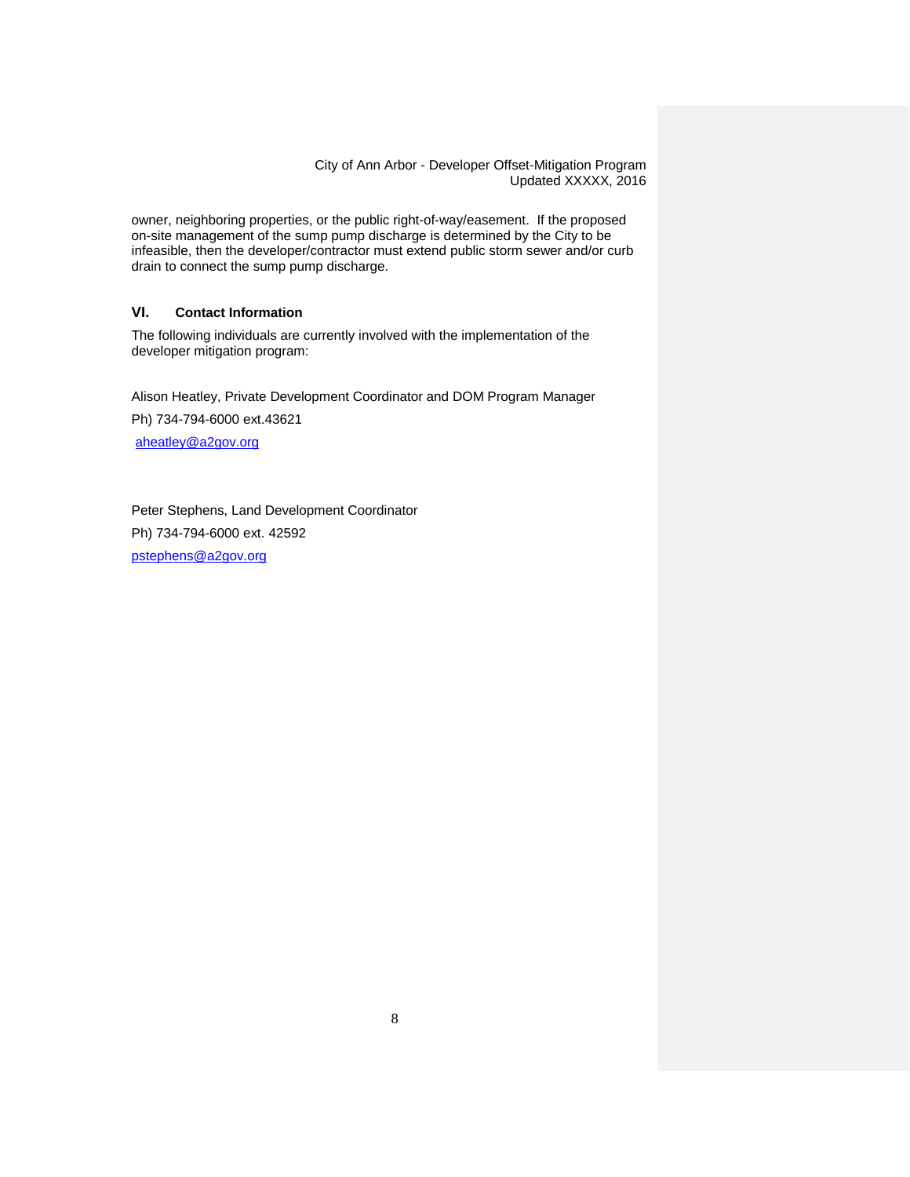owner, neighboring properties, or the public right-of-way/easement. If the proposed on-site management of the sump pump discharge is determined by the City to be infeasible, then the developer/contractor must extend public storm sewer and/or curb drain to connect the sump pump discharge.

## **VI. Contact Information**

The following individuals are currently involved with the implementation of the developer mitigation program:

Alison Heatley, Private Development Coordinator and DOM Program Manager Ph) 734-794-6000 ext.43621

[aheatley@a2gov.org](mailto:aheatley@a2gov.org)

Peter Stephens, Land Development Coordinator Ph) 734-794-6000 ext. 42592 [pstephens@a2gov.org](mailto:pstephens@a2gov.org)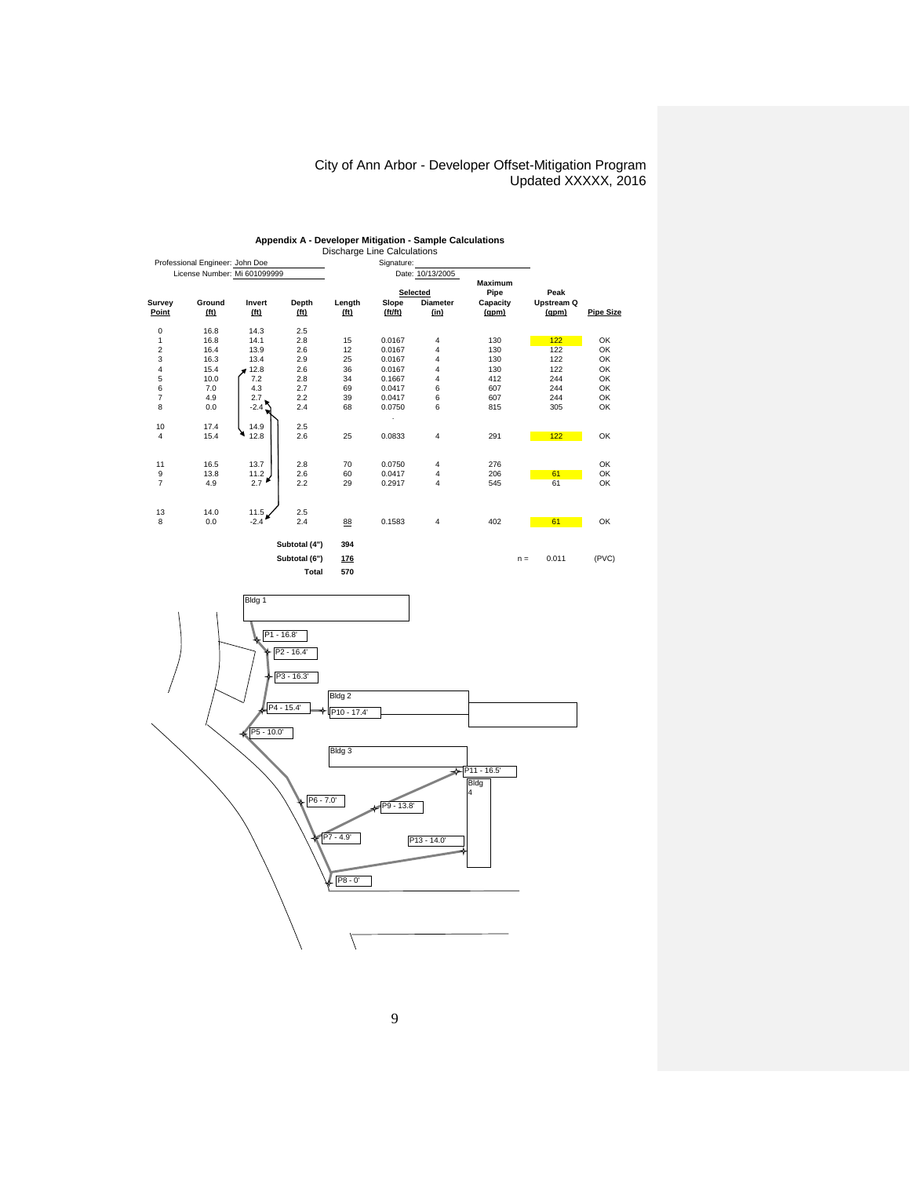| Professional Engineer: John Doe |                   |                   |                   | <b>Propriarge Erric Odiodiations</b> |             |                  |                |                |                  |
|---------------------------------|-------------------|-------------------|-------------------|--------------------------------------|-------------|------------------|----------------|----------------|------------------|
| License Number: Mi 601099999    |                   |                   |                   | Signature:                           |             |                  |                |                |                  |
|                                 |                   |                   |                   |                                      |             | Date: 10/13/2005 | <b>Maximum</b> |                |                  |
|                                 |                   |                   |                   | Selected                             |             | Pipe             | Peak           |                |                  |
| Survey                          | Ground            | Invert            | Depth             | Length                               | Slope       | <b>Diameter</b>  | Capacity       | Upstream Q     |                  |
| Point                           | (f <sub>t</sub> ) | (f <sub>t</sub> ) | (f <sub>t</sub> ) | (f <sub>t</sub> )                    | (f t / f t) | (in)             | (gpm)          | (gpm)          | <b>Pipe Size</b> |
| 0                               | 16.8              | 14.3              | 2.5               |                                      |             |                  |                |                |                  |
| 1                               | 16.8              | 14.1              | 2.8               | 15                                   | 0.0167      | 4                | 130            | 122            | OK               |
| 2                               | 16.4              | 13.9              | 2.6               | 12                                   | 0.0167      | 4                | 130            | 122            | OK               |
| 3                               | 16.3              | 13.4              | 2.9               | 25                                   | 0.0167      | 4                | 130            | 122            | OK               |
| 4                               | 15.4              | 12.8              | 2.6               | 36                                   | 0.0167      | 4                | 130            | 122            | OK               |
| 5                               | 10.0              | 7.2               | 2.8               | 34                                   | 0.1667      | 4                | 412            | 244            | OK               |
| 6                               | 7.0               | 4.3               | 2.7               | 69                                   | 0.0417      | 6                | 607            | 244            | OK               |
| 7                               | 4.9               | 2.7               | 2.2               | 39                                   | 0.0417      | 6                | 607            | 244            | OK               |
| 8                               | 0.0               | $-2.42$           | 2.4               | 68                                   | 0.0750      | 6                | 815            | 305            | OK               |
|                                 |                   |                   |                   |                                      |             |                  |                |                |                  |
| 10                              | 17.4              | 14.9              | 2.5               |                                      |             |                  |                |                |                  |
| 4                               | 15.4              | 12.8              | 2.6               | 25                                   | 0.0833      | 4                | 291            | 122            | OK               |
|                                 |                   |                   |                   |                                      |             |                  |                |                |                  |
| 11                              | 16.5              | 13.7              | 2.8               | 70                                   | 0.0750      | 4                | 276            |                | OK               |
| 9                               | 13.8              | 11.2 <sub>1</sub> | 2.6               | 60                                   | 0.0417      | 4                | 206            | 61             | OK               |
| $\overline{7}$                  | 4.9               | 2.7               | 2.2               | 29                                   | 0.2917      | 4                | 545            | 61             | OK               |
|                                 |                   |                   |                   |                                      |             |                  |                |                |                  |
| 13                              | 14.0              | 11.5 <sub>1</sub> | 2.5               |                                      |             |                  |                |                |                  |
| 8                               | 0.0               | $-2.4$            | 2.4               |                                      | 0.1583      | 4                | 402            | 61             | OK               |
|                                 |                   |                   |                   | 88                                   |             |                  |                |                |                  |
|                                 |                   | Subtotal (4")     | 394               |                                      |             |                  |                |                |                  |
|                                 |                   |                   | Subtotal (6")     | 176                                  |             |                  |                | 0.011<br>$n =$ | (PVC)            |
|                                 |                   |                   |                   |                                      |             |                  |                |                |                  |

# **Appendix A - Developer Mitigation - Sample Calculations** Discharge Line Calculations



9